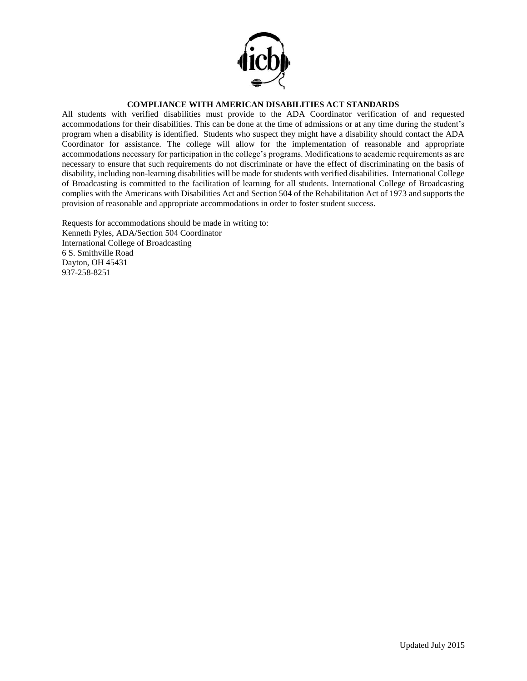

## **COMPLIANCE WITH AMERICAN DISABILITIES ACT STANDARDS**

All students with verified disabilities must provide to the ADA Coordinator verification of and requested accommodations for their disabilities. This can be done at the time of admissions or at any time during the student's program when a disability is identified. Students who suspect they might have a disability should contact the ADA Coordinator for assistance. The college will allow for the implementation of reasonable and appropriate accommodations necessary for participation in the college's programs. Modifications to academic requirements as are necessary to ensure that such requirements do not discriminate or have the effect of discriminating on the basis of disability, including non-learning disabilities will be made for students with verified disabilities. International College of Broadcasting is committed to the facilitation of learning for all students. International College of Broadcasting complies with the Americans with Disabilities Act and Section 504 of the Rehabilitation Act of 1973 and supports the provision of reasonable and appropriate accommodations in order to foster student success.

Requests for accommodations should be made in writing to: Kenneth Pyles, ADA/Section 504 Coordinator International College of Broadcasting 6 S. Smithville Road Dayton, OH 45431 937-258-8251